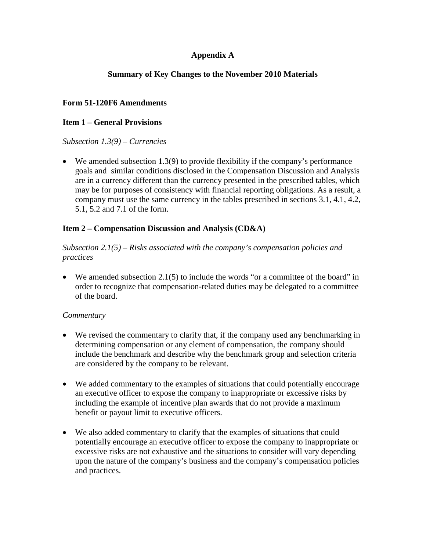# **Appendix A**

# **Summary of Key Changes to the November 2010 Materials**

# **Form 51-120F6 Amendments**

### **Item 1 – General Provisions**

#### *Subsection 1.3(9) – Currencies*

 $\bullet$  We amended subsection 1.3(9) to provide flexibility if the company's performance goals and similar conditions disclosed in the Compensation Discussion and Analysis are in a currency different than the currency presented in the prescribed tables, which may be for purposes of consistency with financial reporting obligations. As a result, a company must use the same currency in the tables prescribed in sections 3.1, 4.1, 4.2, 5.1, 5.2 and 7.1 of the form.

### **Item 2 – Compensation Discussion and Analysis (CD&A)**

### *Subsection 2.1(5) – Risks associated with the company's compensation policies and practices*

 $\bullet$  We amended subsection 2.1(5) to include the words "or a committee of the board" in order to recognize that compensation-related duties may be delegated to a committee of the board.

### *Commentary*

- We revised the commentary to clarify that, if the company used any benchmarking in determining compensation or any element of compensation, the company should include the benchmark and describe why the benchmark group and selection criteria are considered by the company to be relevant.
- We added commentary to the examples of situations that could potentially encourage an executive officer to expose the company to inappropriate or excessive risks by including the example of incentive plan awards that do not provide a maximum benefit or payout limit to executive officers.
- We also added commentary to clarify that the examples of situations that could potentially encourage an executive officer to expose the company to inappropriate or excessive risks are not exhaustive and the situations to consider will vary depending upon the nature of the company's business and the company's compensation policies and practices.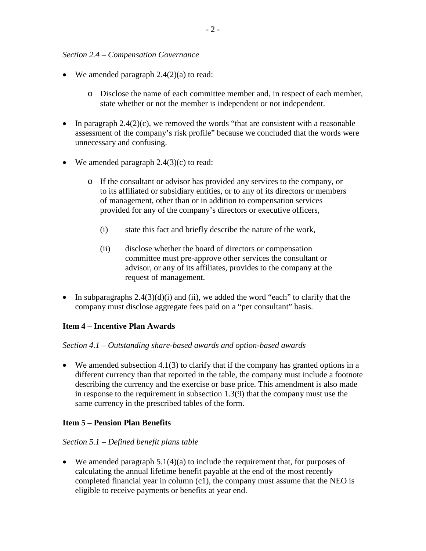#### *Section 2.4 – Compensation Governance*

- We amended paragraph  $2.4(2)(a)$  to read:
	- o Disclose the name of each committee member and, in respect of each member, state whether or not the member is independent or not independent.
- In paragraph  $2.4(2)(c)$ , we removed the words "that are consistent with a reasonable" assessment of the company's risk profile" because we concluded that the words were unnecessary and confusing.
- We amended paragraph  $2.4(3)(c)$  to read:
	- o If the consultant or advisor has provided any services to the company, or to its affiliated or subsidiary entities, or to any of its directors or members of management, other than or in addition to compensation services provided for any of the company's directors or executive officers,
		- (i) state this fact and briefly describe the nature of the work,
		- (ii) disclose whether the board of directors or compensation committee must pre-approve other services the consultant or advisor, or any of its affiliates, provides to the company at the request of management.
- In subparagraphs  $2.4(3)(d)(i)$  and (ii), we added the word "each" to clarify that the company must disclose aggregate fees paid on a "per consultant" basis.

### **Item 4 – Incentive Plan Awards**

### *Section 4.1 – Outstanding share-based awards and option-based awards*

We amended subsection 4.1(3) to clarify that if the company has granted options in a different currency than that reported in the table, the company must include a footnote describing the currency and the exercise or base price. This amendment is also made in response to the requirement in subsection 1.3(9) that the company must use the same currency in the prescribed tables of the form.

### **Item 5 – Pension Plan Benefits**

### *Section 5.1 – Defined benefit plans table*

 $\bullet$  We amended paragraph 5.1(4)(a) to include the requirement that, for purposes of calculating the annual lifetime benefit payable at the end of the most recently completed financial year in column (c1), the company must assume that the NEO is eligible to receive payments or benefits at year end.